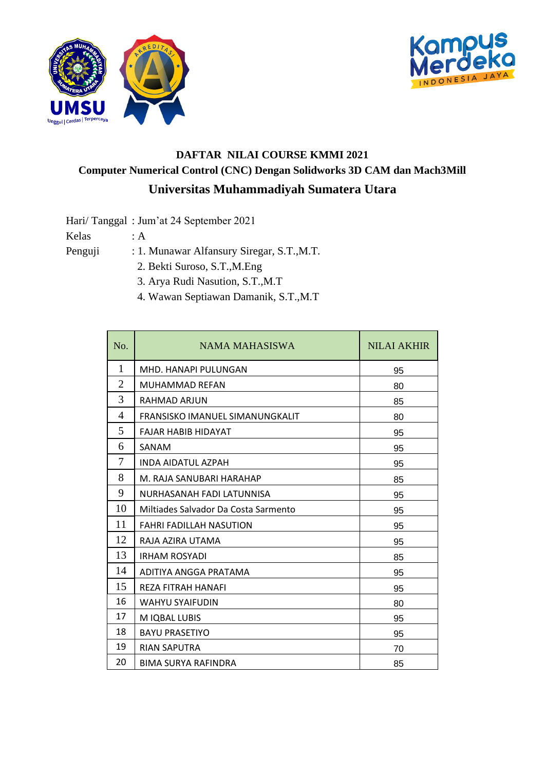



## **DAFTAR NILAI COURSE KMMI 2021 Computer Numerical Control (CNC) Dengan Solidworks 3D CAM dan Mach3Mill Universitas Muhammadiyah Sumatera Utara**

Hari/ Tanggal : Jum'at 24 September 2021

Kelas : A

- Penguji : 1. Munawar Alfansury Siregar, S.T., M.T. 2. Bekti Suroso, S.T.,M.Eng
	- 3. Arya Rudi Nasution, S.T.,M.T
	- 4. Wawan Septiawan Damanik, S.T.,M.T

| No.            | NAMA MAHASISWA                       | <b>NILAI AKHIR</b> |
|----------------|--------------------------------------|--------------------|
| 1              | MHD. HANAPI PULUNGAN                 | 95                 |
| $\overline{2}$ | MUHAMMAD REFAN                       | 80                 |
| 3              | RAHMAD ARJUN                         | 85                 |
| $\overline{4}$ | FRANSISKO IMANUEL SIMANUNGKALIT      | 80                 |
| 5              | <b>FAIAR HABIB HIDAYAT</b>           | 95                 |
| 6              | SANAM                                | 95                 |
| 7              | <b>INDA AIDATUL AZPAH</b>            | 95                 |
| 8              | M. RAJA SANUBARI HARAHAP             | 85                 |
| 9              | NURHASANAH FADI LATUNNISA            | 95                 |
| 10             | Miltiades Salvador Da Costa Sarmento | 95                 |
| 11             | <b>FAHRI FADILLAH NASUTION</b>       | 95                 |
| 12             | RAJA AZIRA UTAMA                     | 95                 |
| 13             | <b>IRHAM ROSYADI</b>                 | 85                 |
| 14             | ADITIYA ANGGA PRATAMA                | 95                 |
| 15             | <b>REZA FITRAH HANAFI</b>            | 95                 |
| 16             | <b>WAHYU SYAIFUDIN</b>               | 80                 |
| 17             | M IQBAL LUBIS                        | 95                 |
| 18             | <b>BAYU PRASETIYO</b>                | 95                 |
| 19             | <b>RIAN SAPUTRA</b>                  | 70                 |
| 20             | <b>BIMA SURYA RAFINDRA</b>           | 85                 |